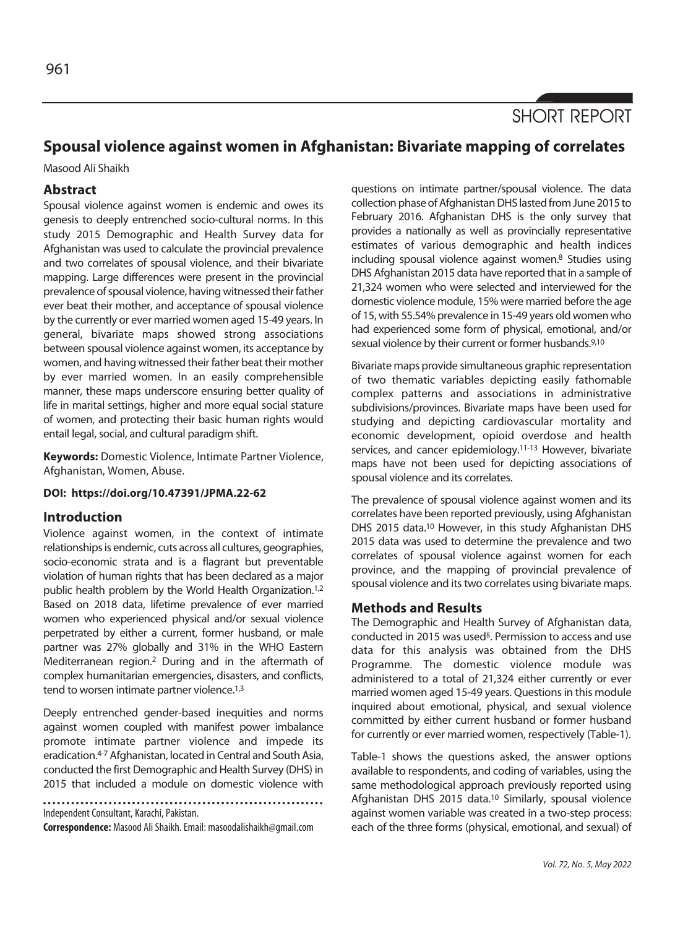

# **Spousal violence against women in Afghanistan: Bivariate mapping of correlates**

Masood Ali Shaikh

## **Abstract**

Spousal violence against women is endemic and owes its genesis to deeply entrenched socio-cultural norms. In this study 2015 Demographic and Health Survey data for Afghanistan was used to calculate the provincial prevalence and two correlates of spousal violence, and their bivariate mapping. Large differences were present in the provincial prevalence of spousal violence, having witnessed their father ever beat their mother, and acceptance of spousal violence by the currently or ever married women aged 15-49 years. In general, bivariate maps showed strong associations between spousal violence against women, its acceptance by women, and having witnessed their father beat their mother by ever married women. In an easily comprehensible manner, these maps underscore ensuring better quality of life in marital settings, higher and more equal social stature of women, and protecting their basic human rights would entail legal, social, and cultural paradigm shift.

**Keywords:** Domestic Violence, Intimate Partner Violence, Afghanistan, Women, Abuse.

### **DOI: https://doi.org/10.47391/JPMA.22-62**

## **Introduction**

Violence against women, in the context of intimate relationships is endemic, cuts across all cultures, geographies, socio-economic strata and is a flagrant but preventable violation of human rights that has been declared as a major public health problem by the World Health Organization.1,2 Based on 2018 data, lifetime prevalence of ever married women who experienced physical and/or sexual violence perpetrated by either a current, former husband, or male partner was 27% globally and 31% in the WHO Eastern Mediterranean region.2 During and in the aftermath of complex humanitarian emergencies, disasters, and conflicts, tend to worsen intimate partner violence.<sup>1,3</sup>

Deeply entrenched gender-based inequities and norms against women coupled with manifest power imbalance promote intimate partner violence and impede its eradication.4-7 Afghanistan, located in Central and South Asia, conducted the first Demographic and Health Survey (DHS) in 2015 that included a module on domestic violence with

Independent Consultant, Karachi, Pakistan.

**Correspondence:** Masood Ali Shaikh. Email: masoodalishaikh@gmail.com

questions on intimate partner/spousal violence. The data collection phase of Afghanistan DHS lasted from June 2015 to February 2016. Afghanistan DHS is the only survey that provides a nationally as well as provincially representative estimates of various demographic and health indices including spousal violence against women.8 Studies using DHS Afghanistan 2015 data have reported that in a sample of 21,324 women who were selected and interviewed for the domestic violence module, 15% were married before the age of 15, with 55.54% prevalence in 15-49 years old women who had experienced some form of physical, emotional, and/or sexual violence by their current or former husbands.<sup>9,10</sup>

Bivariate maps provide simultaneous graphic representation of two thematic variables depicting easily fathomable complex patterns and associations in administrative subdivisions/provinces. Bivariate maps have been used for studying and depicting cardiovascular mortality and economic development, opioid overdose and health services, and cancer epidemiology.11-13 However, bivariate maps have not been used for depicting associations of spousal violence and its correlates.

The prevalence of spousal violence against women and its correlates have been reported previously, using Afghanistan DHS 2015 data.<sup>10</sup> However, in this study Afghanistan DHS 2015 data was used to determine the prevalence and two correlates of spousal violence against women for each province, and the mapping of provincial prevalence of spousal violence and its two correlates using bivariate maps.

# **Methods and Results**

The Demographic and Health Survey of Afghanistan data, conducted in 2015 was used<sup>8</sup>. Permission to access and use data for this analysis was obtained from the DHS Programme. The domestic violence module was administered to a total of 21,324 either currently or ever married women aged 15-49 years. Questions in this module inquired about emotional, physical, and sexual violence committed by either current husband or former husband for currently or ever married women, respectively (Table-1).

Table-1 shows the questions asked, the answer options available to respondents, and coding of variables, using the same methodological approach previously reported using Afghanistan DHS 2015 data.10 Similarly, spousal violence against women variable was created in a two-step process: each of the three forms (physical, emotional, and sexual) of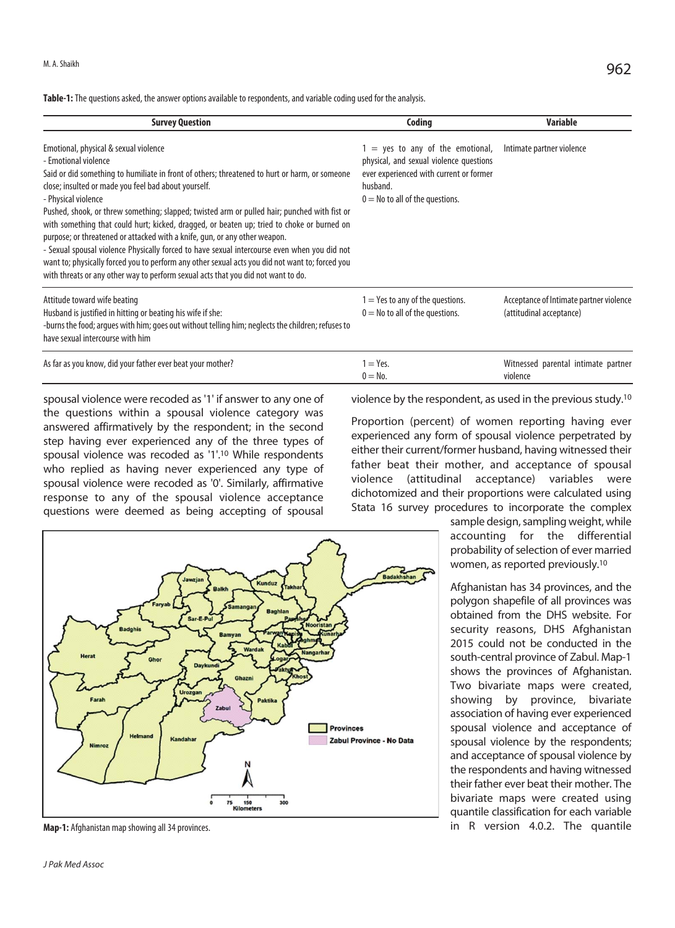**Table-1:** The questions asked, the answer options available to respondents, and variable coding used for the analysis.

| <b>Survey Question</b>                                                                                                                                                                                                                                                                                                                                                                                                                                                                                                                                                                                                                                                                                                                                                                                            | Coding                                                                                                                                                                    | Variable                                                            |
|-------------------------------------------------------------------------------------------------------------------------------------------------------------------------------------------------------------------------------------------------------------------------------------------------------------------------------------------------------------------------------------------------------------------------------------------------------------------------------------------------------------------------------------------------------------------------------------------------------------------------------------------------------------------------------------------------------------------------------------------------------------------------------------------------------------------|---------------------------------------------------------------------------------------------------------------------------------------------------------------------------|---------------------------------------------------------------------|
| Emotional, physical & sexual violence<br>- Emotional violence<br>Said or did something to humiliate in front of others; threatened to hurt or harm, or someone<br>close; insulted or made you feel bad about yourself.<br>- Physical violence<br>Pushed, shook, or threw something; slapped; twisted arm or pulled hair; punched with fist or<br>with something that could hurt; kicked, dragged, or beaten up; tried to choke or burned on<br>purpose; or threatened or attacked with a knife, gun, or any other weapon.<br>- Sexual spousal violence Physically forced to have sexual intercourse even when you did not<br>want to; physically forced you to perform any other sexual acts you did not want to; forced you<br>with threats or any other way to perform sexual acts that you did not want to do. | $1 = yes$ to any of the emotional,<br>physical, and sexual violence questions<br>ever experienced with current or former<br>husband.<br>$0 =$ No to all of the questions. | Intimate partner violence                                           |
| Attitude toward wife beating<br>Husband is justified in hitting or beating his wife if she:<br>-burns the food; arques with him; goes out without telling him; neglects the children; refuses to<br>have sexual intercourse with him                                                                                                                                                                                                                                                                                                                                                                                                                                                                                                                                                                              | $1 =$ Yes to any of the questions.<br>$0 =$ No to all of the questions.                                                                                                   | Acceptance of Intimate partner violence<br>(attitudinal acceptance) |
| As far as you know, did your father ever beat your mother?                                                                                                                                                                                                                                                                                                                                                                                                                                                                                                                                                                                                                                                                                                                                                        | $1 = Yes.$<br>$0 = No.$                                                                                                                                                   | Witnessed parental intimate partner<br>violence                     |

spousal violence were recoded as '1' if answer to any one of the questions within a spousal violence category was answered affirmatively by the respondent; in the second step having ever experienced any of the three types of spousal violence was recoded as '1'.10 While respondents who replied as having never experienced any type of spousal violence were recoded as '0'. Similarly, affirmative response to any of the spousal violence acceptance questions were deemed as being accepting of spousal violence by the respondent, as used in the previous study.10

Proportion (percent) of women reporting having ever experienced any form of spousal violence perpetrated by either their current/former husband, having witnessed their father beat their mother, and acceptance of spousal violence (attitudinal acceptance) variables were dichotomized and their proportions were calculated using Stata 16 survey procedures to incorporate the complex

> sample design, sampling weight, while accounting for the differential probability of selection of ever married women, as reported previously.10

> Afghanistan has 34 provinces, and the polygon shapefile of all provinces was obtained from the DHS website. For security reasons, DHS Afghanistan 2015 could not be conducted in the south-central province of Zabul. Map-1 shows the provinces of Afghanistan. Two bivariate maps were created, showing by province, bivariate association of having ever experienced spousal violence and acceptance of spousal violence by the respondents; and acceptance of spousal violence by the respondents and having witnessed their father ever beat their mother. The bivariate maps were created using quantile classification for each variable in R version 4.0.2. The quantile



**Map-1:** Afghanistan map showing all 34 provinces.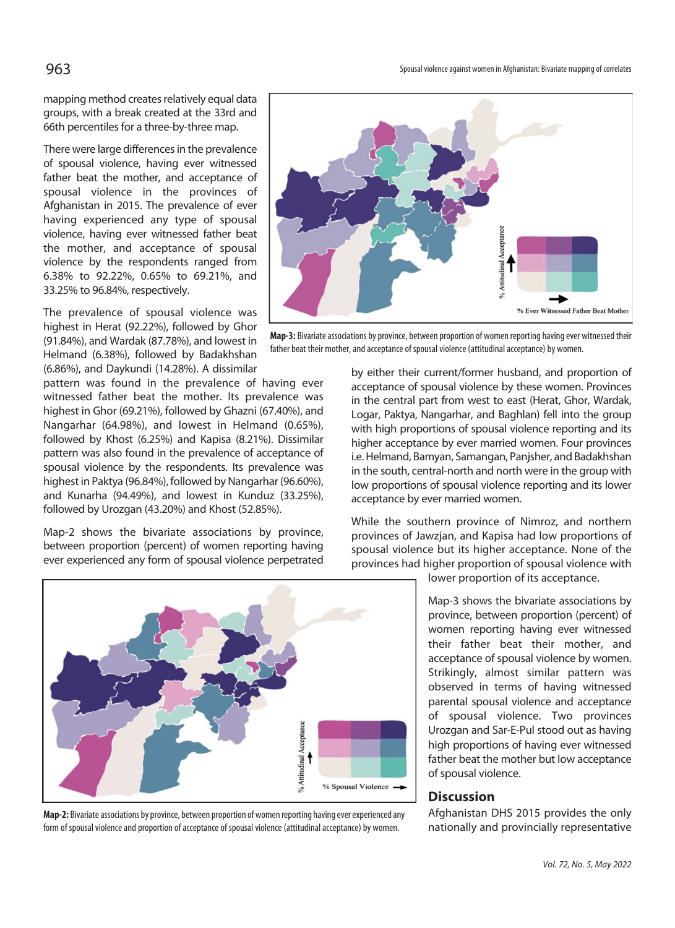mapping method creates relatively equal data groups, with a break created at the 33rd and 66th percentiles for a three-by-three map.

There were large differences in the prevalence of spousal violence, having ever witnessed father beat the mother, and acceptance of spousal violence in the provinces of Afghanistan in 2015. The prevalence of ever having experienced any type of spousal violence, having ever witnessed father beat the mother, and acceptance of spousal violence by the respondents ranged from 6.38% to 92.22%, 0.65% to 69.21%, and 33.25% to 96.84%, respectively.

The prevalence of spousal violence was highest in Herat (92.22%), followed by Ghor (91.84%), and Wardak (87.78%), and lowest in Helmand (6.38%), followed by Badakhshan (6.86%), and Daykundi (14.28%). A dissimilar

pattern was found in the prevalence of having ever witnessed father beat the mother. Its prevalence was highest in Ghor (69.21%), followed by Ghazni (67.40%), and Nangarhar (64.98%), and lowest in Helmand (0.65%), followed by Khost (6.25%) and Kapisa (8.21%). Dissimilar pattern was also found in the prevalence of acceptance of spousal violence by the respondents. Its prevalence was highest in Paktya (96.84%), followed by Nangarhar (96.60%), and Kunarha (94.49%), and lowest in Kunduz (33.25%), followed by Urozgan (43.20%) and Khost (52.85%).

Map-2 shows the bivariate associations by province, between proportion (percent) of women reporting having ever experienced any form of spousal violence perpetrated



**Map-2:** Bivariate associations by province, between proportion of women reporting having ever experienced any form of spousal violence and proportion of acceptance of spousal violence (attitudinal acceptance) by women.



**Map-3:** Bivariate associations by province, between proportion of women reporting having ever witnessed their father beat their mother, and acceptance of spousal violence (attitudinal acceptance) by women.

by either their current/former husband, and proportion of acceptance of spousal violence by these women. Provinces in the central part from west to east (Herat, Ghor, Wardak, Logar, Paktya, Nangarhar, and Baghlan) fell into the group with high proportions of spousal violence reporting and its higher acceptance by ever married women. Four provinces i.e. Helmand, Bamyan, Samangan, Panjsher, and Badakhshan in the south, central-north and north were in the group with low proportions of spousal violence reporting and its lower acceptance by ever married women.

While the southern province of Nimroz, and northern provinces of Jawzjan, and Kapisa had low proportions of spousal violence but its higher acceptance. None of the provinces had higher proportion of spousal violence with

lower proportion of its acceptance.

Map-3 shows the bivariate associations by province, between proportion (percent) of women reporting having ever witnessed their father beat their mother, and acceptance of spousal violence by women. Strikingly, almost similar pattern was observed in terms of having witnessed parental spousal violence and acceptance of spousal violence. Two provinces Urozgan and Sar-E-Pul stood out as having high proportions of having ever witnessed father beat the mother but low acceptance of spousal violence.

## **Discussion**

Afghanistan DHS 2015 provides the only nationally and provincially representative